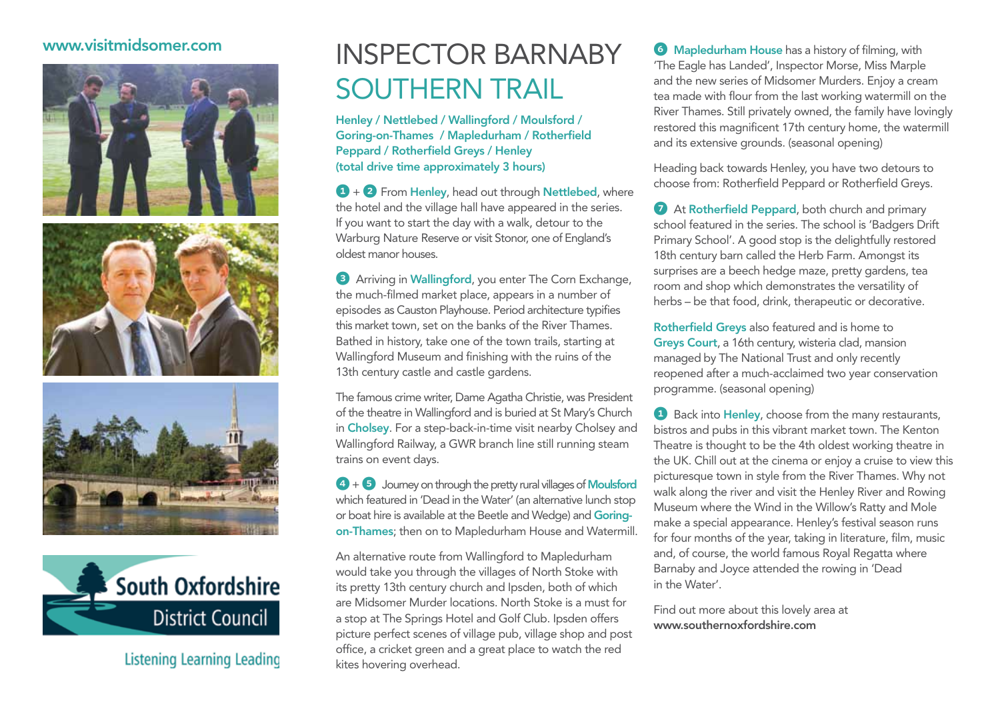## www.visitmidsomer.com









Listening Learning Leading

## inspector Barnaby southern trail

Henley / Nettlebed / Wallingford / Moulsford / Goring-on-Thames / Mapledurham / Rotherfield Peppard / Rotherfield Greys / Henley (total drive time approximately 3 hours)

 $\bigodot$  +  $\bigodot$  From Henley, head out through Nettlebed, where the hotel and the village hall have appeared in the series. If you want to start the day with a walk, detour to the Warburg Nature Reserve or visit Stonor, one of England's oldest manor houses.

<sup>3</sup> Arriving in Wallingford, you enter The Corn Exchange, the much-filmed market place, appears in a number of episodes as Causton Playhouse. Period architecture typifies this market town, set on the banks of the River Thames. Bathed in history, take one of the town trails, starting at Wallingford Museum and finishing with the ruins of the 13th century castle and castle gardens.

The famous crime writer, Dame Agatha Christie, was President of the theatre in Wallingford and is buried at St Mary's Church in Cholsey. For a step-back-in-time visit nearby Cholsey and Wallingford Railway, a GWR branch line still running steam trains on event days.

 $4 + 5$  Journey on through the pretty rural villages of Moulsford which featured in 'Dead in the Water' (an alternative lunch stop or boat hire is available at the Beetle and Wedge) and Goringon-Thames; then on to Mapledurham House and Watermill.

An alternative route from Wallingford to Mapledurham would take you through the villages of North Stoke with its pretty 13th century church and Ipsden, both of which are Midsomer Murder locations. North Stoke is a must for a stop at The Springs Hotel and Golf Club. Ipsden offers picture perfect scenes of village pub, village shop and post office, a cricket green and a great place to watch the red kites hovering overhead.

**6** Mapledurham House has a history of filming, with 'The Eagle has Landed', Inspector Morse, Miss Marple and the new series of Midsomer Murders. Enjoy a cream tea made with flour from the last working watermill on the River Thames. Still privately owned, the family have lovingly restored this magnificent 17th century home, the watermill and its extensive grounds. (seasonal opening)

Heading back towards Henley, you have two detours to choose from: Rotherfield Peppard or Rotherfield Greys.

**7** At Rotherfield Peppard, both church and primary school featured in the series. The school is 'Badgers Drift Primary School'. A good stop is the delightfully restored 18th century barn called the Herb Farm. Amongst its surprises are a beech hedge maze, pretty gardens, tea room and shop which demonstrates the versatility of herbs – be that food, drink, therapeutic or decorative.

Rotherfield Greys also featured and is home to Greys Court, a 16th century, wisteria clad, mansion managed by The National Trust and only recently reopened after a much-acclaimed two year conservation programme. (seasonal opening)

**1** Back into **Henley**, choose from the many restaurants, bistros and pubs in this vibrant market town. The Kenton Theatre is thought to be the 4th oldest working theatre in the UK. Chill out at the cinema or enjoy a cruise to view this picturesque town in style from the River Thames. Why not walk along the river and visit the Henley River and Rowing Museum where the Wind in the Willow's Ratty and Mole make a special appearance. Henley's festival season runs for four months of the year, taking in literature, film, music and, of course, the world famous Royal Regatta where Barnaby and Joyce attended the rowing in 'Dead in the Water'.

Find out more about this lovely area at www.southernoxfordshire.com